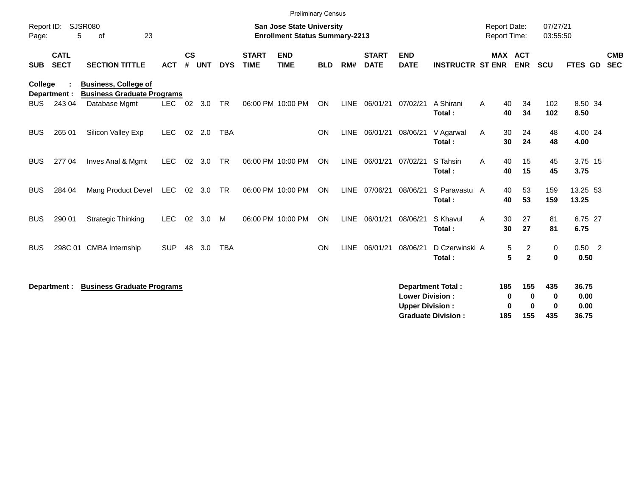|                                                        |                            |                                                                  |            |                    |            |                                                                           |                             | <b>Preliminary Census</b> |            |             |                             |                                                  |                                                       |               |                                            |                                    |                                |                          |
|--------------------------------------------------------|----------------------------|------------------------------------------------------------------|------------|--------------------|------------|---------------------------------------------------------------------------|-----------------------------|---------------------------|------------|-------------|-----------------------------|--------------------------------------------------|-------------------------------------------------------|---------------|--------------------------------------------|------------------------------------|--------------------------------|--------------------------|
| <b>SJSR080</b><br>Report ID:<br>23<br>5<br>οf<br>Page: |                            |                                                                  |            |                    |            | <b>San Jose State University</b><br><b>Enrollment Status Summary-2213</b> |                             |                           |            |             |                             |                                                  |                                                       |               | <b>Report Date:</b><br><b>Report Time:</b> |                                    | 07/27/21<br>03:55:50           |                          |
| <b>SUB</b>                                             | <b>CATL</b><br><b>SECT</b> | <b>SECTION TITTLE</b>                                            | <b>ACT</b> | $\mathsf{cs}$<br># | <b>UNT</b> | <b>DYS</b>                                                                | <b>START</b><br><b>TIME</b> | <b>END</b><br><b>TIME</b> | <b>BLD</b> | RM#         | <b>START</b><br><b>DATE</b> | <b>END</b><br><b>DATE</b>                        | <b>INSTRUCTR ST ENR</b>                               |               | <b>MAX ACT</b><br><b>ENR</b>               | SCU                                | FTES GD                        | <b>CMB</b><br><b>SEC</b> |
| College                                                | Department :               | <b>Business, College of</b><br><b>Business Graduate Programs</b> |            |                    |            |                                                                           |                             |                           |            |             |                             |                                                  |                                                       |               |                                            |                                    |                                |                          |
| <b>BUS</b>                                             | 243 04                     | Database Mgmt                                                    | LEC.       | 02                 | 3.0        | <b>TR</b>                                                                 |                             | 06:00 PM 10:00 PM         | <b>ON</b>  | <b>LINE</b> | 06/01/21                    | 07/02/21                                         | A Shirani<br>Total:                                   | A<br>40<br>40 | 34<br>34                                   | 102<br>102                         | 8.50 34<br>8.50                |                          |
| <b>BUS</b>                                             | 265 01                     | Silicon Valley Exp                                               | <b>LEC</b> | 02                 | 2.0        | <b>TBA</b>                                                                |                             |                           | <b>ON</b>  | <b>LINE</b> | 06/01/21                    | 08/06/21                                         | V Agarwal<br>Total:                                   | 30<br>A<br>30 | 24<br>24                                   | 48<br>48                           | 4.00 24<br>4.00                |                          |
| <b>BUS</b>                                             | 277 04                     | Inves Anal & Mgmt                                                | <b>LEC</b> | 02                 | 3.0        | TR                                                                        |                             | 06:00 PM 10:00 PM         | ON         | <b>LINE</b> | 06/01/21                    | 07/02/21                                         | S Tahsin<br>Total:                                    | 40<br>A<br>40 | 15<br>15                                   | 45<br>45                           | 3.75 15<br>3.75                |                          |
| <b>BUS</b>                                             | 284 04                     | Mang Product Devel                                               | LEC        | 02                 | 3.0        | <b>TR</b>                                                                 |                             | 06:00 PM 10:00 PM         | ON         |             | LINE 07/06/21               | 08/06/21                                         | S Paravastu A<br>Total:                               | 40<br>40      | 53<br>53                                   | 159<br>159                         | 13.25 53<br>13.25              |                          |
| <b>BUS</b>                                             | 290 01                     | <b>Strategic Thinking</b>                                        | <b>LEC</b> | 02                 | 3.0        | M                                                                         |                             | 06:00 PM 10:00 PM         | ON         | <b>LINE</b> | 06/01/21                    | 08/06/21                                         | S Khavul<br>Total:                                    | 30<br>A<br>30 | 27<br>27                                   | 81<br>81                           | 6.75 27<br>6.75                |                          |
| <b>BUS</b>                                             |                            | 298C 01 CMBA Internship                                          | <b>SUP</b> | 48                 | 3.0        | <b>TBA</b>                                                                |                             |                           | ON         | <b>LINE</b> | 06/01/21                    | 08/06/21                                         | D Czerwinski A<br>Total:                              |               | $\overline{2}$<br>5<br>5<br>$\mathbf{2}$   | 0<br>$\mathbf 0$                   | $0.50 \quad 2$<br>0.50         |                          |
|                                                        | Department :               | <b>Business Graduate Programs</b>                                |            |                    |            |                                                                           |                             |                           |            |             |                             | <b>Lower Division:</b><br><b>Upper Division:</b> | <b>Department Total:</b><br><b>Graduate Division:</b> | 185<br>185    | 155<br>0<br>0<br>0<br>0<br>155             | 435<br>$\bf{0}$<br>$\bf{0}$<br>435 | 36.75<br>0.00<br>0.00<br>36.75 |                          |